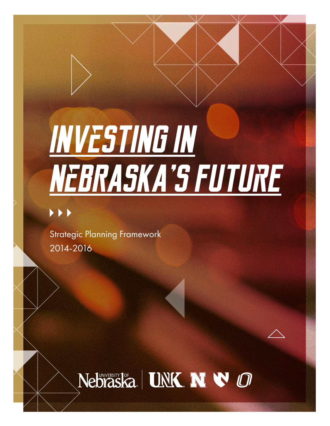# **INVeSTING IN NeBRASKA'S FUTUrE**

Strategic Planning Framework 2014-2016

## Nebraska | UNK N V O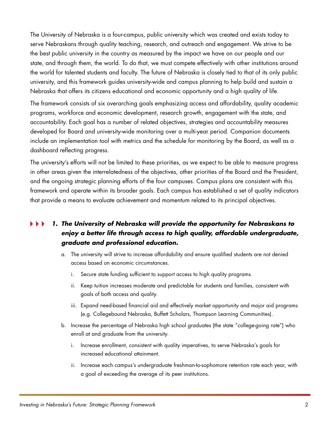The University of Nebraska is a four-campus, public university which was created and exists today to serve Nebraskans through quality teaching, research, and outreach and engagement. We strive to be the best public university in the country as measured by the impact we have on our people and our state, and through them, the world. To do that, we must compete effectively with other institutions around the world for talented students and faculty. The future of Nebraska is closely tied to that of its only public university, and this framework guides university-wide and campus planning to help build and sustain a Nebraska that offers its citizens educational and economic opportunity and a high quality of life.

The framework consists of six overarching goals emphasizing access and affordability, quality academic programs, workforce and economic development, research growth, engagement with the state, and accountability. Each goal has a number of related objectives, strategies and accountability measures developed for Board and university-wide monitoring over a multi-year period. Companion documents include an implementation tool with metrics and the schedule for monitoring by the Board, as well as a dashboard reflecting progress.

The university's efforts will not be limited to these priorities, as we expect to be able to measure progress in other areas given the interrelatedness of the objectives, other priorities of the Board and the President, and the ongoing strategic planning efforts of the four campuses. Campus plans are consistent with this framework and operate within its broader goals. Each campus has established a set of quality indicators that provide a means to evaluate achievement and momentum related to its principal objectives.

### *1. The University of Nebraska will provide the opportunity for Nebraskans to enjoy a better life through access to high quality, affordable undergraduate, graduate and professional education.*

- a. The university will strive to increase affordability and ensure qualified students are not denied access based on economic circumstances.
	- i. Secure state funding sufficient to support access to high quality programs.
	- ii. Keep tuition increases moderate and predictable for students and families, consistent with goals of both access and quality.
	- iii. Expand need-based financial aid and effectively market opportunity and major aid programs (e.g. Collegebound Nebraska, Buffett Scholars, Thompson Learning Communities).
- b. Increase the percentage of Nebraska high school graduates (the state "college-going rate") who enroll at and graduate from the university.
	- i. Increase enrollment, consistent with quality imperatives, to serve Nebraska's goals for increased educational attainment.
	- ii. Increase each campus's undergraduate freshman-to-sophomore retention rate each year, with a goal of exceeding the average of its peer institutions.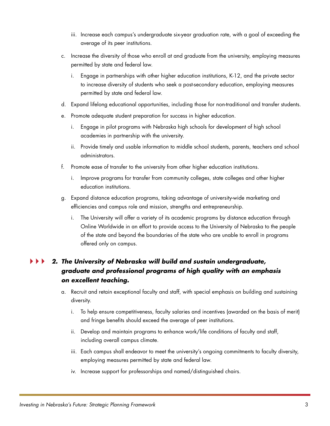- iii. Increase each campus's undergraduate six-year graduation rate, with a goal of exceeding the average of its peer institutions.
- c. Increase the diversity of those who enroll at and graduate from the university, employing measures permitted by state and federal law.
	- i. Engage in partnerships with other higher education institutions, K-12, and the private sector to increase diversity of students who seek a post-secondary education, employing measures permitted by state and federal law.
- d. Expand lifelong educational opportunities, including those for non-traditional and transfer students.
- e. Promote adequate student preparation for success in higher education.
	- i. Engage in pilot programs with Nebraska high schools for development of high school academies in partnership with the university.
	- ii. Provide timely and usable information to middle school students, parents, teachers and school administrators.
- f. Promote ease of transfer to the university from other higher education institutions.
	- i. Improve programs for transfer from community colleges, state colleges and other higher education institutions.
- g. Expand distance education programs, taking advantage of university-wide marketing and efficiencies and campus role and mission, strengths and entrepreneurship.
	- i. The University will offer a variety of its academic programs by distance education through Online Worldwide in an effort to provide access to the University of Nebraska to the people of the state and beyond the boundaries of the state who are unable to enroll in programs offered only on campus.

#### *2. The University of Nebraska will build and sustain undergraduate, graduate and professional programs of high quality with an emphasis on excellent teaching.*

- a. Recruit and retain exceptional faculty and staff, with special emphasis on building and sustaining diversity.
	- i. To help ensure competitiveness, faculty salaries and incentives (awarded on the basis of merit) and fringe benefits should exceed the average of peer institutions.
	- ii. Develop and maintain programs to enhance work/life conditions of faculty and staff, including overall campus climate.
	- iii. Each campus shall endeavor to meet the university's ongoing commitments to faculty diversity, employing measures permitted by state and federal law.
	- iv. Increase support for professorships and named/distinguished chairs.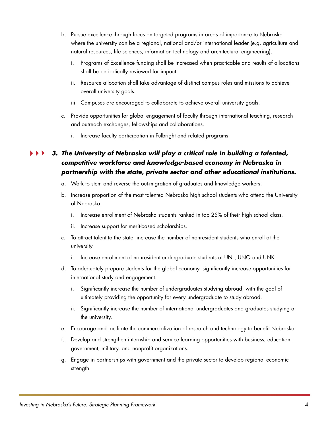- b. Pursue excellence through focus on targeted programs in areas of importance to Nebraska where the university can be a regional, national and/or international leader (e.g. agriculture and natural resources, life sciences, information technology and architectural engineering).
	- i. Programs of Excellence funding shall be increased when practicable and results of allocations shall be periodically reviewed for impact.
	- ii. Resource allocation shall take advantage of distinct campus roles and missions to achieve overall university goals.
	- iii. Campuses are encouraged to collaborate to achieve overall university goals.
- c. Provide opportunities for global engagement of faculty through international teaching, research and outreach exchanges, fellowships and collaborations.
	- i. Increase faculty participation in Fulbright and related programs.

### *3. The University of Nebraska will play a critical role in building a talented, competitive workforce and knowledge-based economy in Nebraska in partnership with the state, private sector and other educational institutions.*

- a. Work to stem and reverse the out-migration of graduates and knowledge workers.
- b. Increase proportion of the most talented Nebraska high school students who attend the University of Nebraska.
	- i. Increase enrollment of Nebraska students ranked in top 25% of their high school class.
	- ii. Increase support for merit-based scholarships.
- c. To attract talent to the state, increase the number of nonresident students who enroll at the university.
	- i. Increase enrollment of nonresident undergraduate students at UNL, UNO and UNK.
- d. To adequately prepare students for the global economy, significantly increase opportunities for international study and engagement.
	- i. Significantly increase the number of undergraduates studying abroad, with the goal of ultimately providing the opportunity for every undergraduate to study abroad.
	- ii. Significantly increase the number of international undergraduates and graduates studying at the university.
- e. Encourage and facilitate the commercialization of research and technology to benefit Nebraska.
- f. Develop and strengthen internship and service learning opportunities with business, education, government, military, and nonprofit organizations.
- g. Engage in partnerships with government and the private sector to develop regional economic strength.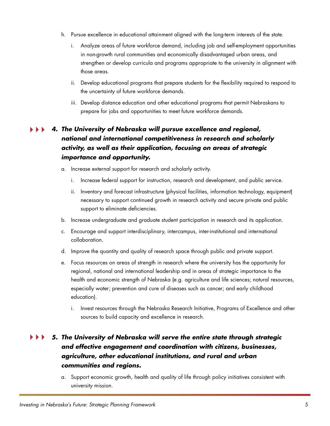- h. Pursue excellence in educational attainment aligned with the long-term interests of the state.
	- i. Analyze areas of future workforce demand, including job and self-employment opportunities in non-growth rural communities and economically disadvantaged urban areas, and strengthen or develop curricula and programs appropriate to the university in alignment with those areas.
	- ii. Develop educational programs that prepare students for the flexibility required to respond to the uncertainty of future workforce demands.
	- iii. Develop distance education and other educational programs that permit Nebraskans to prepare for jobs and opportunities to meet future workforce demands.

#### *4. The University of Nebraska will pursue excellence and regional, national and international competitiveness in research and scholarly activity, as well as their application, focusing on areas of strategic importance and opportunity.*

- a. Increase external support for research and scholarly activity.
	- i. Increase federal support for instruction, research and development, and public service.
	- ii. Inventory and forecast infrastructure (physical facilities, information technology, equipment) necessary to support continued growth in research activity and secure private and public support to eliminate deficiencies.
- b. Increase undergraduate and graduate student participation in research and its application.
- c. Encourage and support interdisciplinary, intercampus, inter-institutional and international collaboration.
- d. Improve the quantity and quality of research space through public and private support.
- e. Focus resources on areas of strength in research where the university has the opportunity for regional, national and international leadership and in areas of strategic importance to the health and economic strength of Nebraska (e.g. agriculture and life sciences; natural resources, especially water; prevention and cure of diseases such as cancer; and early childhood education).
	- i. Invest resources through the Nebraska Research Initiative, Programs of Excellence and other sources to build capacity and excellence in research.

#### *5. The University of Nebraska will serve the entire state through strategic and effective engagement and coordination with citizens, businesses, agriculture, other educational institutions, and rural and urban communities and regions.*

a. Support economic growth, health and quality of life through policy initiatives consistent with university mission.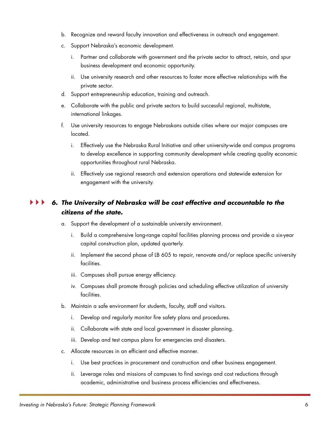- b. Recognize and reward faculty innovation and effectiveness in outreach and engagement.
- c. Support Nebraska's economic development.
	- i. Partner and collaborate with government and the private sector to attract, retain, and spur business development and economic opportunity.
	- ii. Use university research and other resources to foster more effective relationships with the private sector.
- d. Support entrepreneurship education, training and outreach.
- e. Collaborate with the public and private sectors to build successful regional, multistate, international linkages.
- f. Use university resources to engage Nebraskans outside cities where our major campuses are located.
	- i. Effectively use the Nebraska Rural Initiative and other university-wide and campus programs to develop excellence in supporting community development while creating quality economic opportunities throughout rural Nebraska.
	- ii. Effectively use regional research and extension operations and statewide extension for engagement with the university.

### *6. The University of Nebraska will be cost effective and accountable to the citizens of the state.*

- a. Support the development of a sustainable university environment.
	- i. Build a comprehensive long-range capital facilities planning process and provide a six-year capital construction plan, updated quarterly.
	- ii. Implement the second phase of LB 605 to repair, renovate and/or replace specific university facilities.
	- iii. Campuses shall pursue energy efficiency.
	- iv. Campuses shall promote through policies and scheduling effective utilization of university facilities.
- b. Maintain a safe environment for students, faculty, staff and visitors.
	- i. Develop and regularly monitor fire safety plans and procedures.
	- ii. Collaborate with state and local government in disaster planning.
	- iii. Develop and test campus plans for emergencies and disasters.
- c. Allocate resources in an efficient and effective manner.
	- i. Use best practices in procurement and construction and other business engagement.
	- ii. Leverage roles and missions of campuses to find savings and cost reductions through academic, administrative and business process efficiencies and effectiveness.